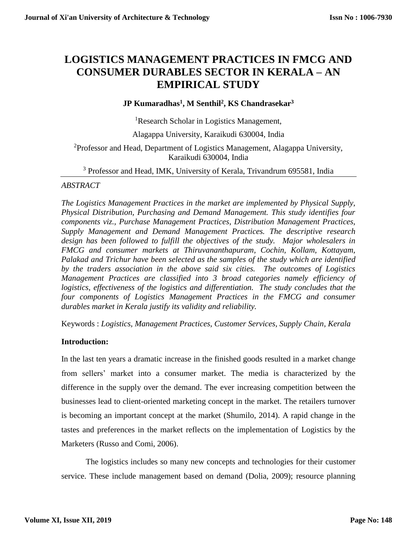# **LOGISTICS MANAGEMENT PRACTICES IN FMCG AND CONSUMER DURABLES SECTOR IN KERALA – AN EMPIRICAL STUDY**

# **JP Kumaradhas<sup>1</sup> , M Senthil<sup>2</sup> , KS Chandrasekar<sup>3</sup>**

<sup>1</sup>Research Scholar in Logistics Management,

Alagappa University, Karaikudi 630004, India

<sup>2</sup>Professor and Head, Department of Logistics Management, Alagappa University, Karaikudi 630004, India

<sup>3</sup> Professor and Head, IMK, University of Kerala, Trivandrum 695581, India

### *ABSTRACT*

*The Logistics Management Practices in the market are implemented by Physical Supply, Physical Distribution, Purchasing and Demand Management. This study identifies four components viz., Purchase Management Practices, Distribution Management Practices, Supply Management and Demand Management Practices. The descriptive research*  design has been followed to fulfill the objectives of the study. Major wholesalers in *FMCG and consumer markets at Thiruvananthapuram, Cochin, Kollam, Kottayam, Palakad and Trichur have been selected as the samples of the study which are identified by the traders association in the above said six cities. The outcomes of Logistics Management Practices are classified into 3 broad categories namely efficiency of logistics, effectiveness of the logistics and differentiation. The study concludes that the four components of Logistics Management Practices in the FMCG and consumer durables market in Kerala justify its validity and reliability.*

Keywords : *Logistics, Management Practices, Customer Services, Supply Chain, Kerala*

### **Introduction:**

In the last ten years a dramatic increase in the finished goods resulted in a market change from sellers' market into a consumer market. The media is characterized by the difference in the supply over the demand. The ever increasing competition between the businesses lead to client-oriented marketing concept in the market. The retailers turnover is becoming an important concept at the market (Shumilo, 2014). A rapid change in the tastes and preferences in the market reflects on the implementation of Logistics by the Marketers (Russo and Comi, 2006).

The logistics includes so many new concepts and technologies for their customer service. These include management based on demand (Dolia, 2009); resource planning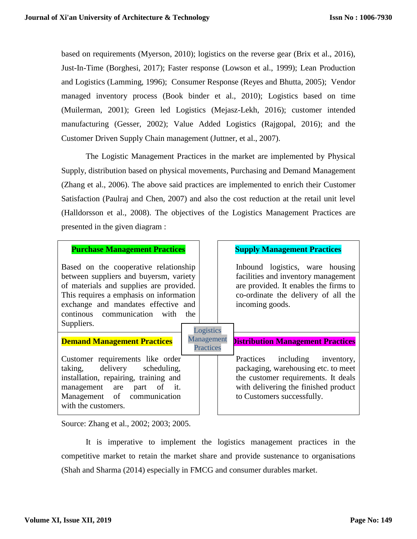based on requirements (Myerson, 2010); logistics on the reverse gear (Brix et al., 2016), Just-In-Time (Borghesi, 2017); Faster response (Lowson et al., 1999); Lean Production and Logistics (Lamming, 1996); Consumer Response (Reyes and Bhutta, 2005); Vendor managed inventory process (Book binder et al., 2010); Logistics based on time (Muilerman, 2001); Green led Logistics (Mejasz-Lekh, 2016); customer intended manufacturing (Gesser, 2002); Value Added Logistics (Rajgopal, 2016); and the Customer Driven Supply Chain management (Juttner, et al., 2007).

The Logistic Management Practices in the market are implemented by Physical Supply, distribution based on physical movements, Purchasing and Demand Management (Zhang et al., 2006). The above said practices are implemented to enrich their Customer Satisfaction (Paulraj and Chen, 2007) and also the cost reduction at the retail unit level (Halldorsson et al., 2008). The objectives of the Logistics Management Practices are presented in the given diagram :

### **Purchase Management Practices Fig. 5 Supply Management Practices**

Based on the cooperative relationship between suppliers and buyersm, variety of materials and supplies are provided. This requires a emphasis on information exchange and mandates effective and continous communication with the Suppliers.

Inbound logistics, ware housing facilities and inventory management are provided. It enables the firms to co-ordinate the delivery of all the incoming goods.

| Suppliers.                                                                                                                                                                                    | Logistics                      |                                                                                                                                                                                    |
|-----------------------------------------------------------------------------------------------------------------------------------------------------------------------------------------------|--------------------------------|------------------------------------------------------------------------------------------------------------------------------------------------------------------------------------|
| <b>Demand Management Practices</b>                                                                                                                                                            | Management<br><b>Practices</b> | <b>Distribution Management Practices</b>                                                                                                                                           |
| Customer requirements like order<br>taking, delivery scheduling,<br>installation, repairing, training and<br>management are part of it.<br>Management of communication<br>with the customers. |                                | Practices including inventory,<br>packaging, warehousing etc. to meet<br>the customer requirements. It deals<br>with delivering the finished product<br>to Customers successfully. |

Source: Zhang et al., 2002; 2003; 2005.

It is imperative to implement the logistics management practices in the competitive market to retain the market share and provide sustenance to organisations (Shah and Sharma (2014) especially in FMCG and consumer durables market.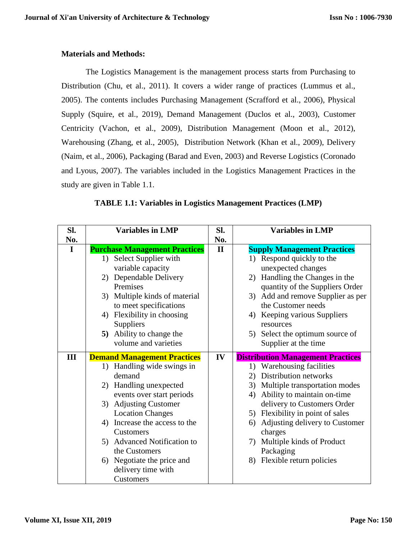# **Materials and Methods:**

The Logistics Management is the management process starts from Purchasing to Distribution (Chu, et al., 2011). It covers a wider range of practices (Lummus et al., 2005). The contents includes Purchasing Management (Scrafford et al., 2006), Physical Supply (Squire, et al., 2019), Demand Management (Duclos et al., 2003), Customer Centricity (Vachon, et al., 2009), Distribution Management (Moon et al., 2012), Warehousing (Zhang, et al., 2005), Distribution Network (Khan et al., 2009), Delivery (Naim, et al., 2006), Packaging (Barad and Even, 2003) and Reverse Logistics (Coronado and Lyous, 2007). The variables included in the Logistics Management Practices in the study are given in Table 1.1.

| SI.         | <b>Variables in LMP</b>              |              | <b>Variables in LMP</b>                  |
|-------------|--------------------------------------|--------------|------------------------------------------|
| No.         |                                      | No.          |                                          |
| $\mathbf I$ | <b>Purchase Management Practices</b> | $\mathbf{I}$ | <b>Supply Management Practices</b>       |
|             | 1) Select Supplier with              |              | 1) Respond quickly to the                |
|             | variable capacity                    |              | unexpected changes                       |
|             | 2) Dependable Delivery               |              | 2) Handling the Changes in the           |
|             | Premises                             |              | quantity of the Suppliers Order          |
|             | 3) Multiple kinds of material        |              | 3) Add and remove Supplier as per        |
|             | to meet specifications               |              | the Customer needs                       |
|             | 4) Flexibility in choosing           |              | 4) Keeping various Suppliers             |
|             | Suppliers                            |              | resources                                |
|             | 5) Ability to change the             |              | 5) Select the optimum source of          |
|             | volume and varieties                 |              | Supplier at the time                     |
| III         | <b>Demand Management Practices</b>   | IV           | <b>Distribution Management Practices</b> |
|             | 1) Handling wide swings in           |              | 1) Warehousing facilities                |
|             | demand                               |              | Distribution networks<br>2)              |
|             | 2) Handling unexpected               |              | Multiple transportation modes<br>3)      |
|             | events over start periods            |              | Ability to maintain on-time<br>4)        |
|             | 3) Adjusting Customer                |              | delivery to Customers Order              |
|             | <b>Location Changes</b>              |              | 5) Flexibility in point of sales         |
|             | 4) Increase the access to the        |              | Adjusting delivery to Customer<br>6)     |
|             | Customers                            |              | charges                                  |
|             | 5) Advanced Notification to          |              | 7) Multiple kinds of Product             |
|             | the Customers                        |              | Packaging                                |
|             | 6) Negotiate the price and           |              | 8) Flexible return policies              |
|             | delivery time with                   |              |                                          |
|             | Customers                            |              |                                          |

|  | TABLE 1.1: Variables in Logistics Management Practices (LMP) |  |
|--|--------------------------------------------------------------|--|
|  |                                                              |  |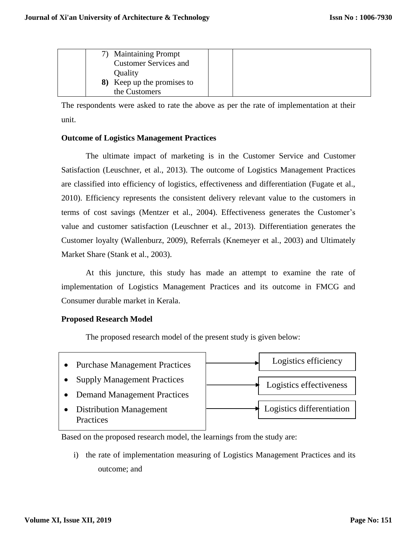|  | 7) Maintaining Prompt        |  |  |
|--|------------------------------|--|--|
|  | <b>Customer Services and</b> |  |  |
|  | Quality                      |  |  |
|  | 8) Keep up the promises to   |  |  |
|  | the Customers                |  |  |

The respondents were asked to rate the above as per the rate of implementation at their unit.

#### **Outcome of Logistics Management Practices**

The ultimate impact of marketing is in the Customer Service and Customer Satisfaction (Leuschner, et al., 2013). The outcome of Logistics Management Practices are classified into efficiency of logistics, effectiveness and differentiation (Fugate et al., 2010). Efficiency represents the consistent delivery relevant value to the customers in terms of cost savings (Mentzer et al., 2004). Effectiveness generates the Customer's value and customer satisfaction (Leuschner et al., 2013). Differentiation generates the Customer loyalty (Wallenburz, 2009), Referrals (Knemeyer et al., 2003) and Ultimately Market Share (Stank et al., 2003).

At this juncture, this study has made an attempt to examine the rate of implementation of Logistics Management Practices and its outcome in FMCG and Consumer durable market in Kerala.

#### **Proposed Research Model**

The proposed research model of the present study is given below:



Based on the proposed research model, the learnings from the study are:

i) the rate of implementation measuring of Logistics Management Practices and its outcome; and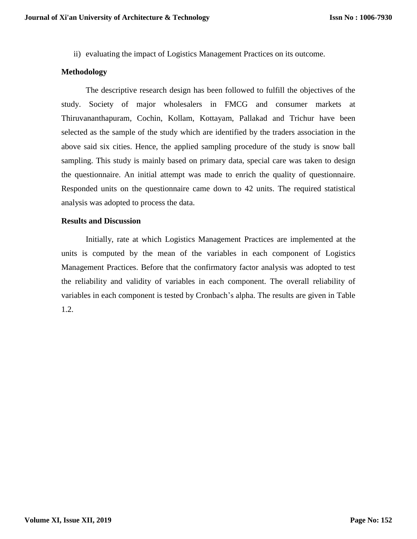ii) evaluating the impact of Logistics Management Practices on its outcome.

#### **Methodology**

The descriptive research design has been followed to fulfill the objectives of the study. Society of major wholesalers in FMCG and consumer markets at Thiruvananthapuram, Cochin, Kollam, Kottayam, Pallakad and Trichur have been selected as the sample of the study which are identified by the traders association in the above said six cities. Hence, the applied sampling procedure of the study is snow ball sampling. This study is mainly based on primary data, special care was taken to design the questionnaire. An initial attempt was made to enrich the quality of questionnaire. Responded units on the questionnaire came down to 42 units. The required statistical analysis was adopted to process the data.

### **Results and Discussion**

Initially, rate at which Logistics Management Practices are implemented at the units is computed by the mean of the variables in each component of Logistics Management Practices. Before that the confirmatory factor analysis was adopted to test the reliability and validity of variables in each component. The overall reliability of variables in each component is tested by Cronbach's alpha. The results are given in Table 1.2.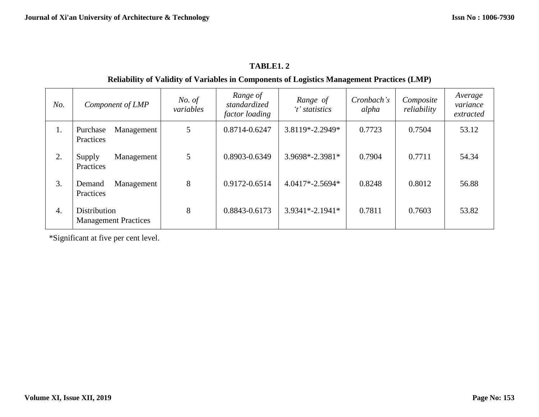# **TABLE1. 2**

# **Reliability of Validity of Variables in Components of Logistics Management Practices (LMP)**

| No.              | Component of LMP                                   | No. of<br>variables | Range of<br>standardized<br><i>factor loading</i> | Range of<br>'t' statistics | Cronbach's<br>alpha | Composite<br>reliability | Average<br>variance<br>extracted |
|------------------|----------------------------------------------------|---------------------|---------------------------------------------------|----------------------------|---------------------|--------------------------|----------------------------------|
| 1.               | Management<br>Purchase<br>Practices                | 5                   | 0.8714-0.6247                                     | $3.8119*-2.2949*$          | 0.7723              | 0.7504                   | 53.12                            |
| 2.               | Management<br>Supply<br>Practices                  | 5                   | 0.8903-0.6349                                     | 3.9698*-2.3981*            | 0.7904              | 0.7711                   | 54.34                            |
| 3.               | Management<br>Demand<br>Practices                  | 8                   | 0.9172-0.6514                                     | $4.0417*-2.5694*$          | 0.8248              | 0.8012                   | 56.88                            |
| $\overline{4}$ . | <b>Distribution</b><br><b>Management Practices</b> | 8                   | 0.8843-0.6173                                     | $3.9341*-2.1941*$          | 0.7811              | 0.7603                   | 53.82                            |

\*Significant at five per cent level.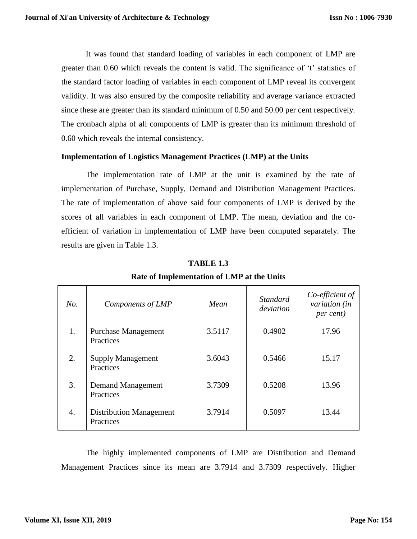It was found that standard loading of variables in each component of LMP are greater than 0.60 which reveals the content is valid. The significance of 't' statistics of the standard factor loading of variables in each component of LMP reveal its convergent validity. It was also ensured by the composite reliability and average variance extracted since these are greater than its standard minimum of 0.50 and 50.00 per cent respectively. The cronbach alpha of all components of LMP is greater than its minimum threshold of 0.60 which reveals the internal consistency.

#### **Implementation of Logistics Management Practices (LMP) at the Units**

The implementation rate of LMP at the unit is examined by the rate of implementation of Purchase, Supply, Demand and Distribution Management Practices. The rate of implementation of above said four components of LMP is derived by the scores of all variables in each component of LMP. The mean, deviation and the coefficient of variation in implementation of LMP have been computed separately. The results are given in Table 1.3.

| No. | Components of LMP                           | Mean   | <i>Standard</i><br>deviation | Co-efficient of<br>variation (in<br>per cent) |
|-----|---------------------------------------------|--------|------------------------------|-----------------------------------------------|
| 1.  | <b>Purchase Management</b><br>Practices     | 3.5117 | 0.4902                       | 17.96                                         |
| 2.  | <b>Supply Management</b><br>Practices       | 3.6043 | 0.5466                       | 15.17                                         |
| 3.  | Demand Management<br>Practices              | 3.7309 | 0.5208                       | 13.96                                         |
| 4.  | <b>Distribution Management</b><br>Practices | 3.7914 | 0.5097                       | 13.44                                         |

#### **TABLE 1.3**

**Rate of Implementation of LMP at the Units**

The highly implemented components of LMP are Distribution and Demand Management Practices since its mean are 3.7914 and 3.7309 respectively. Higher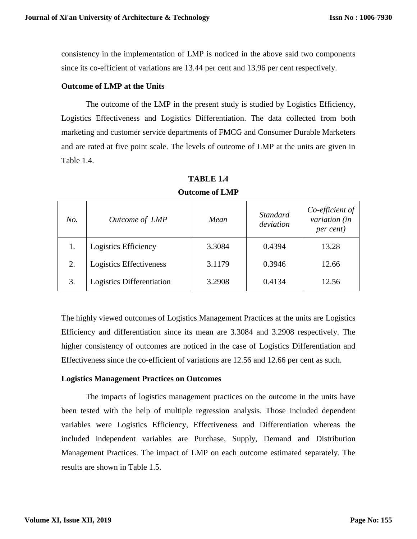consistency in the implementation of LMP is noticed in the above said two components since its co-efficient of variations are 13.44 per cent and 13.96 per cent respectively.

#### **Outcome of LMP at the Units**

The outcome of the LMP in the present study is studied by Logistics Efficiency, Logistics Effectiveness and Logistics Differentiation. The data collected from both marketing and customer service departments of FMCG and Consumer Durable Marketers and are rated at five point scale. The levels of outcome of LMP at the units are given in Table 1.4.

| No. | Outcome of LMP                   | Mean   | <b>Standard</b><br>deviation | Co-efficient of<br>variation (in<br><i>per cent</i> ) |
|-----|----------------------------------|--------|------------------------------|-------------------------------------------------------|
|     | Logistics Efficiency             | 3.3084 | 0.4394                       | 13.28                                                 |
| 2.  | Logistics Effectiveness          | 3.1179 | 0.3946                       | 12.66                                                 |
| 3.  | <b>Logistics Differentiation</b> | 3.2908 | 0.4134                       | 12.56                                                 |

**TABLE 1.4 Outcome of LMP** 

The highly viewed outcomes of Logistics Management Practices at the units are Logistics Efficiency and differentiation since its mean are 3.3084 and 3.2908 respectively. The higher consistency of outcomes are noticed in the case of Logistics Differentiation and Effectiveness since the co-efficient of variations are 12.56 and 12.66 per cent as such.

#### **Logistics Management Practices on Outcomes**

The impacts of logistics management practices on the outcome in the units have been tested with the help of multiple regression analysis. Those included dependent variables were Logistics Efficiency, Effectiveness and Differentiation whereas the included independent variables are Purchase, Supply, Demand and Distribution Management Practices. The impact of LMP on each outcome estimated separately. The results are shown in Table 1.5.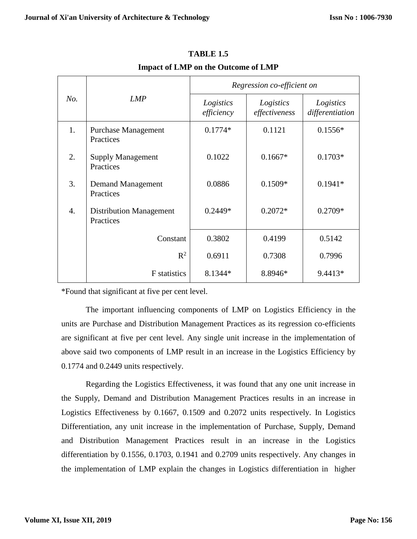|     |                                             | Regression co-efficient on |                            |                              |  |  |  |
|-----|---------------------------------------------|----------------------------|----------------------------|------------------------------|--|--|--|
| No. | <b>LMP</b>                                  | Logistics<br>efficiency    | Logistics<br>effectiveness | Logistics<br>differentiation |  |  |  |
| 1.  | <b>Purchase Management</b><br>Practices     | $0.1774*$                  | 0.1121                     | $0.1556*$                    |  |  |  |
| 2.  | <b>Supply Management</b><br>Practices       | 0.1022                     | $0.1667*$                  | $0.1703*$                    |  |  |  |
| 3.  | Demand Management<br>Practices              | 0.0886                     | $0.1509*$                  | $0.1941*$                    |  |  |  |
| 4.  | <b>Distribution Management</b><br>Practices | $0.2449*$                  | $0.2072*$                  | $0.2709*$                    |  |  |  |
|     | Constant                                    | 0.3802                     | 0.4199                     | 0.5142                       |  |  |  |
|     | $R^2$                                       | 0.6911                     | 0.7308                     | 0.7996                       |  |  |  |
|     | F statistics                                | 8.1344*                    | 8.8946*                    | 9.4413*                      |  |  |  |

**TABLE 1.5 Impact of LMP on the Outcome of LMP**

\*Found that significant at five per cent level.

The important influencing components of LMP on Logistics Efficiency in the units are Purchase and Distribution Management Practices as its regression co-efficients are significant at five per cent level. Any single unit increase in the implementation of above said two components of LMP result in an increase in the Logistics Efficiency by 0.1774 and 0.2449 units respectively.

Regarding the Logistics Effectiveness, it was found that any one unit increase in the Supply, Demand and Distribution Management Practices results in an increase in Logistics Effectiveness by 0.1667, 0.1509 and 0.2072 units respectively. In Logistics Differentiation, any unit increase in the implementation of Purchase, Supply, Demand and Distribution Management Practices result in an increase in the Logistics differentiation by 0.1556, 0.1703, 0.1941 and 0.2709 units respectively. Any changes in the implementation of LMP explain the changes in Logistics differentiation in higher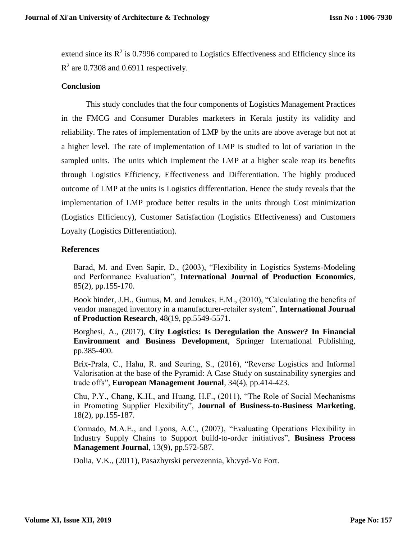extend since its  $R^2$  is 0.7996 compared to Logistics Effectiveness and Efficiency since its  $R^2$  are 0.7308 and 0.6911 respectively.

## **Conclusion**

This study concludes that the four components of Logistics Management Practices in the FMCG and Consumer Durables marketers in Kerala justify its validity and reliability. The rates of implementation of LMP by the units are above average but not at a higher level. The rate of implementation of LMP is studied to lot of variation in the sampled units. The units which implement the LMP at a higher scale reap its benefits through Logistics Efficiency, Effectiveness and Differentiation. The highly produced outcome of LMP at the units is Logistics differentiation. Hence the study reveals that the implementation of LMP produce better results in the units through Cost minimization (Logistics Efficiency), Customer Satisfaction (Logistics Effectiveness) and Customers Loyalty (Logistics Differentiation).

# **References**

Barad, M. and Even Sapir, D., (2003), "Flexibility in Logistics Systems-Modeling and Performance Evaluation", **International Journal of Production Economics**, 85(2), pp.155-170.

Book binder, J.H., Gumus, M. and Jenukes, E.M., (2010), "Calculating the benefits of vendor managed inventory in a manufacturer-retailer system", **International Journal of Production Research**, 48(19, pp.5549-5571.

Borghesi, A., (2017), **City Logistics: Is Deregulation the Answer? In Financial Environment and Business Development**, Springer International Publishing, pp.385-400.

Brix-Prala, C., Hahu, R. and Seuring, S., (2016), "Reverse Logistics and Informal Valorisation at the base of the Pyramid: A Case Study on sustainability synergies and trade offs", **European Management Journal**, 34(4), pp.414-423.

Chu, P.Y., Chang, K.H., and Huang, H.F., (2011), "The Role of Social Mechanisms in Promoting Supplier Flexibility", **Journal of Business-to-Business Marketing**, 18(2), pp.155-187.

Cormado, M.A.E., and Lyons, A.C., (2007), "Evaluating Operations Flexibility in Industry Supply Chains to Support build-to-order initiatives", **Business Process Management Journal**, 13(9), pp.572-587.

Dolia, V.K., (2011), Pasazhyrski pervezennia, kh:vyd-Vo Fort.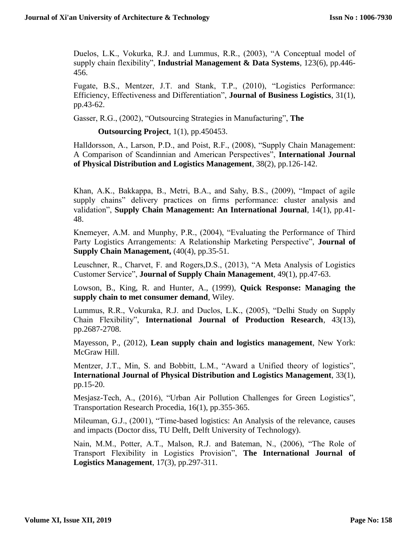Duelos, L.K., Vokurka, R.J. and Lummus, R.R., (2003), "A Conceptual model of supply chain flexibility", **Industrial Management & Data Systems**, 123(6), pp.446- 456.

Fugate, B.S., Mentzer, J.T. and Stank, T.P., (2010), "Logistics Performance: Efficiency, Effectiveness and Differentiation", **Journal of Business Logistics**, 31(1), pp.43-62.

Gasser, R.G., (2002), "Outsourcing Strategies in Manufacturing", **The**

**Outsourcing Project**, 1(1), pp.450453.

Halldorsson, A., Larson, P.D., and Poist, R.F., (2008), "Supply Chain Management: A Comparison of Scandinnian and American Perspectives", **International Journal of Physical Distribution and Logistics Management**, 38(2), pp.126-142.

Khan, A.K., Bakkappa, B., Metri, B.A., and Sahy, B.S., (2009), "Impact of agile supply chains" delivery practices on firms performance: cluster analysis and validation", **Supply Chain Management: An International Journal**, 14(1), pp.41- 48.

Knemeyer, A.M. and Munphy, P.R., (2004), "Evaluating the Performance of Third Party Logistics Arrangements: A Relationship Marketing Perspective", **Journal of Supply Chain Management, (40(4), pp.35-51.** 

Leuschner, R., Charvet, F. and Rogers,D.S., (2013), "A Meta Analysis of Logistics Customer Service", **Journal of Supply Chain Management**, 49(1), pp.47-63.

Lowson, B., King, R. and Hunter, A., (1999), **Quick Response: Managing the supply chain to met consumer demand**, Wiley.

Lummus, R.R., Vokuraka, R.J. and Duclos, L.K., (2005), "Delhi Study on Supply Chain Flexibility", **International Journal of Production Research**, 43(13), pp.2687-2708.

Mayesson, P., (2012), **Lean supply chain and logistics management**, New York: McGraw Hill.

Mentzer, J.T., Min, S. and Bobbitt, L.M., "Award a Unified theory of logistics", **International Journal of Physical Distribution and Logistics Management**, 33(1), pp.15-20.

Mesjasz-Tech, A., (2016), "Urban Air Pollution Challenges for Green Logistics", Transportation Research Procedia, 16(1), pp.355-365.

Mileuman, G.J., (2001), "Time-based logistics: An Analysis of the relevance, causes and impacts (Doctor diss, TU Delft, Delft University of Technology).

Nain, M.M., Potter, A.T., Malson, R.J. and Bateman, N., (2006), "The Role of Transport Flexibility in Logistics Provision", **The International Journal of Logistics Management**, 17(3), pp.297-311.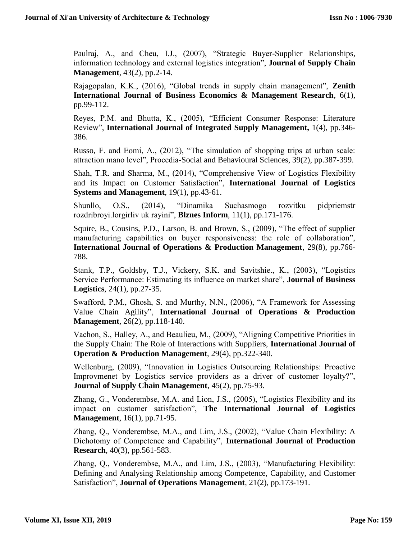Paulraj, A., and Cheu, I.J., (2007), "Strategic Buyer-Supplier Relationships, information technology and external logistics integration", **Journal of Supply Chain Management**, 43(2), pp.2-14.

Rajagopalan, K.K., (2016), "Global trends in supply chain management", **Zenith International Journal of Business Economics & Management Research**, 6(1), pp.99-112.

Reyes, P.M. and Bhutta, K., (2005), "Efficient Consumer Response: Literature Review", **International Journal of Integrated Supply Management,** 1(4), pp.346- 386.

Russo, F. and Eomi, A., (2012), "The simulation of shopping trips at urban scale: attraction mano level", Procedia-Social and Behavioural Sciences, 39(2), pp.387-399.

Shah, T.R. and Sharma, M., (2014), "Comprehensive View of Logistics Flexibility and its Impact on Customer Satisfaction", **International Journal of Logistics Systems and Management**, 19(1), pp.43-61.

Shunllo, O.S., (2014), "Dinamika Suchasmogo rozvitku pidpriemstr rozdribroyi.lorgirliv uk rayini", **Blznes Inform**, 11(1), pp.171-176.

Squire, B., Cousins, P.D., Larson, B. and Brown, S., (2009), "The effect of supplier manufacturing capabilities on buyer responsiveness: the role of collaboration", **International Journal of Operations & Production Management**, 29(8), pp.766- 788.

Stank, T.P., Goldsby, T.J., Vickery, S.K. and Savitshie., K., (2003), "Logistics Service Performance: Estimating its influence on market share", **Journal of Business Logistics**, 24(1), pp.27-35.

Swafford, P.M., Ghosh, S. and Murthy, N.N., (2006), "A Framework for Assessing Value Chain Agility", **International Journal of Operations & Production Management**, 26(2), pp.118-140.

Vachon, S., Halley, A., and Beaulieu, M., (2009), "Aligning Competitive Priorities in the Supply Chain: The Role of Interactions with Suppliers, **International Journal of Operation & Production Management**, 29(4), pp.322-340.

Wellenburg, (2009), "Innovation in Logistics Outsourcing Relationships: Proactive Improvmenet by Logistics service providers as a driver of customer loyalty?", **Journal of Supply Chain Management**, 45(2), pp.75-93.

Zhang, G., Vonderembse, M.A. and Lion, J.S., (2005), "Logistics Flexibility and its impact on customer satisfaction", **The International Journal of Logistics Management**, 16(1), pp.71-95.

Zhang, Q., Vonderembse, M.A., and Lim, J.S., (2002), "Value Chain Flexibility: A Dichotomy of Competence and Capability", **International Journal of Production Research**, 40(3), pp.561-583.

Zhang, Q., Vonderembse, M.A., and Lim, J.S., (2003), "Manufacturing Flexibility: Defining and Analysing Relationship among Competence, Capability, and Customer Satisfaction", **Journal of Operations Management**, 21(2), pp.173-191.